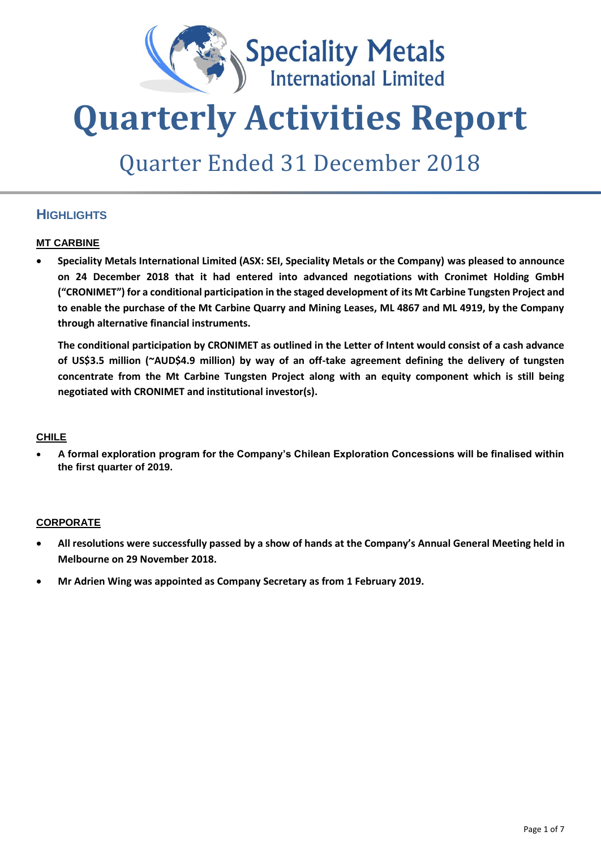

# **Quarterly Activities Report**

## Quarter Ended 31 December 2018

## **HIGHLIGHTS**

#### **MT CARBINE**

• **Speciality Metals International Limited (ASX: SEI, Speciality Metals or the Company) was pleased to announce on 24 December 2018 that it had entered into advanced negotiations with Cronimet Holding GmbH ("CRONIMET") for a conditional participation in the staged development of its Mt Carbine Tungsten Project and to enable the purchase of the Mt Carbine Quarry and Mining Leases, ML 4867 and ML 4919, by the Company through alternative financial instruments.** 

**The conditional participation by CRONIMET as outlined in the Letter of Intent would consist of a cash advance of US\$3.5 million (~AUD\$4.9 million) by way of an off-take agreement defining the delivery of tungsten concentrate from the Mt Carbine Tungsten Project along with an equity component which is still being negotiated with CRONIMET and institutional investor(s).**

#### **CHILE**

• **A formal exploration program for the Company's Chilean Exploration Concessions will be finalised within the first quarter of 2019.** 

#### **CORPORATE**

- **All resolutions were successfully passed by a show of hands at the Company's Annual General Meeting held in Melbourne on 29 November 2018.**
- **Mr Adrien Wing was appointed as Company Secretary as from 1 February 2019.**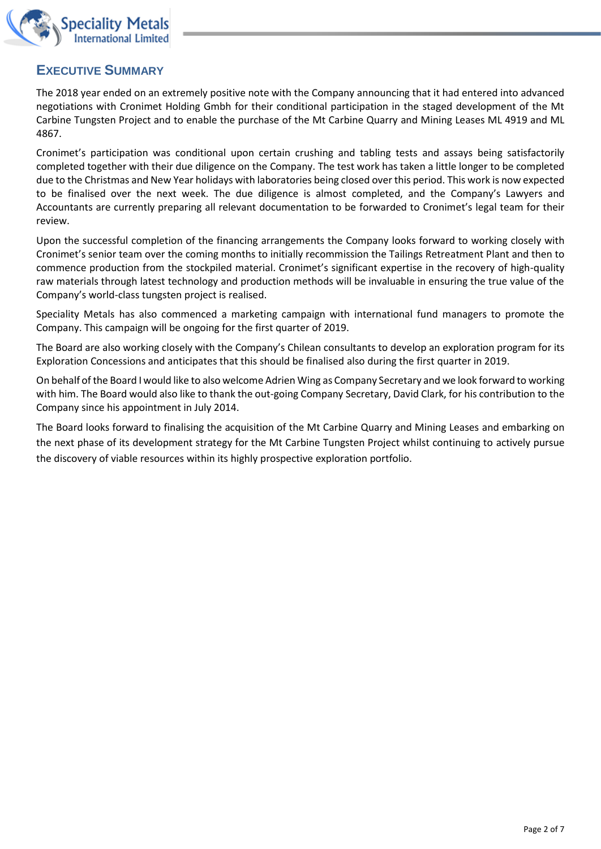

### **EXECUTIVE SUMMARY**

The 2018 year ended on an extremely positive note with the Company announcing that it had entered into advanced negotiations with Cronimet Holding Gmbh for their conditional participation in the staged development of the Mt Carbine Tungsten Project and to enable the purchase of the Mt Carbine Quarry and Mining Leases ML 4919 and ML 4867.

Cronimet's participation was conditional upon certain crushing and tabling tests and assays being satisfactorily completed together with their due diligence on the Company. The test work has taken a little longer to be completed due to the Christmas and New Year holidays with laboratories being closed over this period. This work is now expected to be finalised over the next week. The due diligence is almost completed, and the Company's Lawyers and Accountants are currently preparing all relevant documentation to be forwarded to Cronimet's legal team for their review.

Upon the successful completion of the financing arrangements the Company looks forward to working closely with Cronimet's senior team over the coming months to initially recommission the Tailings Retreatment Plant and then to commence production from the stockpiled material. Cronimet's significant expertise in the recovery of high-quality raw materials through latest technology and production methods will be invaluable in ensuring the true value of the Company's world-class tungsten project is realised.

Speciality Metals has also commenced a marketing campaign with international fund managers to promote the Company. This campaign will be ongoing for the first quarter of 2019.

The Board are also working closely with the Company's Chilean consultants to develop an exploration program for its Exploration Concessions and anticipates that this should be finalised also during the first quarter in 2019.

On behalf of the Board I would like to also welcome Adrien Wing as Company Secretary and we look forward to working with him. The Board would also like to thank the out-going Company Secretary, David Clark, for his contribution to the Company since his appointment in July 2014.

The Board looks forward to finalising the acquisition of the Mt Carbine Quarry and Mining Leases and embarking on the next phase of its development strategy for the Mt Carbine Tungsten Project whilst continuing to actively pursue the discovery of viable resources within its highly prospective exploration portfolio.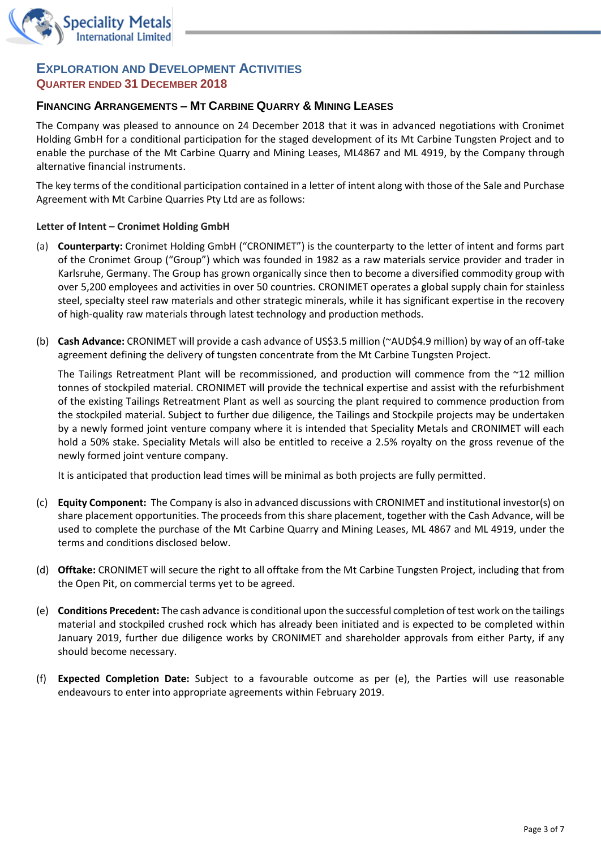

#### **EXPLORATION AND DEVELOPMENT ACTIVITIES QUARTER ENDED 31 DECEMBER 2018**

#### **FINANCING ARRANGEMENTS – MT CARBINE QUARRY & MINING LEASES**

The Company was pleased to announce on 24 December 2018 that it was in advanced negotiations with Cronimet Holding GmbH for a conditional participation for the staged development of its Mt Carbine Tungsten Project and to enable the purchase of the Mt Carbine Quarry and Mining Leases, ML4867 and ML 4919, by the Company through alternative financial instruments.

The key terms of the conditional participation contained in a letter of intent along with those of the Sale and Purchase Agreement with Mt Carbine Quarries Pty Ltd are as follows:

#### **Letter of Intent – Cronimet Holding GmbH**

- (a) **Counterparty:** Cronimet Holding GmbH ("CRONIMET") is the counterparty to the letter of intent and forms part of the Cronimet Group ("Group") which was founded in 1982 as a raw materials service provider and trader in Karlsruhe, Germany. The Group has grown organically since then to become a diversified commodity group with over 5,200 employees and activities in over 50 countries. CRONIMET operates a global supply chain for stainless steel, specialty steel raw materials and other strategic minerals, while it has significant expertise in the recovery of high-quality raw materials through latest technology and production methods.
- (b) **Cash Advance:** CRONIMET will provide a cash advance of US\$3.5 million (~AUD\$4.9 million) by way of an off-take agreement defining the delivery of tungsten concentrate from the Mt Carbine Tungsten Project.

The Tailings Retreatment Plant will be recommissioned, and production will commence from the ~12 million tonnes of stockpiled material. CRONIMET will provide the technical expertise and assist with the refurbishment of the existing Tailings Retreatment Plant as well as sourcing the plant required to commence production from the stockpiled material. Subject to further due diligence, the Tailings and Stockpile projects may be undertaken by a newly formed joint venture company where it is intended that Speciality Metals and CRONIMET will each hold a 50% stake. Speciality Metals will also be entitled to receive a 2.5% royalty on the gross revenue of the newly formed joint venture company.

It is anticipated that production lead times will be minimal as both projects are fully permitted.

- (c) **Equity Component:** The Company is also in advanced discussions with CRONIMET and institutional investor(s) on share placement opportunities. The proceeds from this share placement, together with the Cash Advance, will be used to complete the purchase of the Mt Carbine Quarry and Mining Leases, ML 4867 and ML 4919, under the terms and conditions disclosed below.
- (d) **Offtake:** CRONIMET will secure the right to all offtake from the Mt Carbine Tungsten Project, including that from the Open Pit, on commercial terms yet to be agreed.
- (e) **Conditions Precedent:** The cash advance is conditional upon the successful completion of test work on the tailings material and stockpiled crushed rock which has already been initiated and is expected to be completed within January 2019, further due diligence works by CRONIMET and shareholder approvals from either Party, if any should become necessary.
- (f) **Expected Completion Date:** Subject to a favourable outcome as per (e), the Parties will use reasonable endeavours to enter into appropriate agreements within February 2019.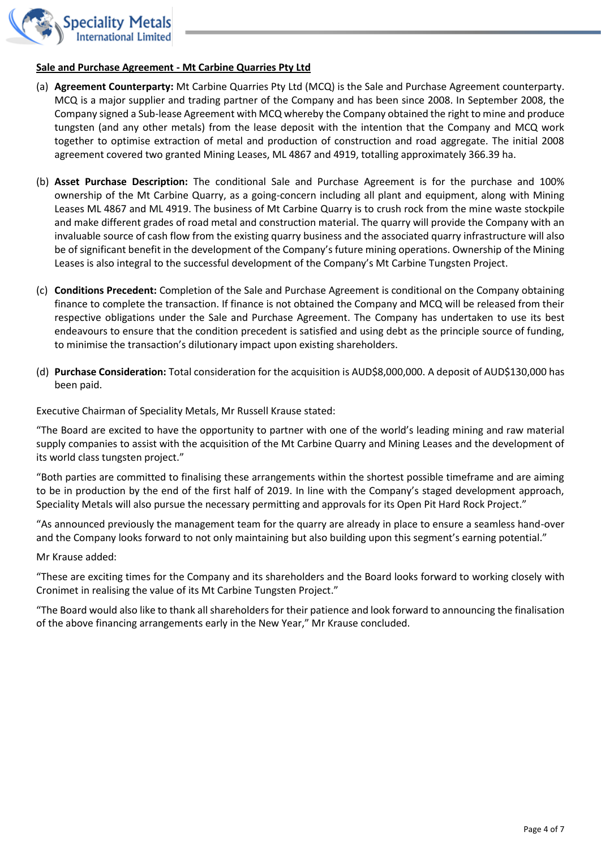

#### **Sale and Purchase Agreement - Mt Carbine Quarries Pty Ltd**

- (a) **Agreement Counterparty:** Mt Carbine Quarries Pty Ltd (MCQ) is the Sale and Purchase Agreement counterparty. MCQ is a major supplier and trading partner of the Company and has been since 2008. In September 2008, the Company signed a Sub-lease Agreement with MCQ whereby the Company obtained the right to mine and produce tungsten (and any other metals) from the lease deposit with the intention that the Company and MCQ work together to optimise extraction of metal and production of construction and road aggregate. The initial 2008 agreement covered two granted Mining Leases, ML 4867 and 4919, totalling approximately 366.39 ha.
- (b) **Asset Purchase Description:** The conditional Sale and Purchase Agreement is for the purchase and 100% ownership of the Mt Carbine Quarry, as a going-concern including all plant and equipment, along with Mining Leases ML 4867 and ML 4919. The business of Mt Carbine Quarry is to crush rock from the mine waste stockpile and make different grades of road metal and construction material. The quarry will provide the Company with an invaluable source of cash flow from the existing quarry business and the associated quarry infrastructure will also be of significant benefit in the development of the Company's future mining operations. Ownership of the Mining Leases is also integral to the successful development of the Company's Mt Carbine Tungsten Project.
- (c) **Conditions Precedent:** Completion of the Sale and Purchase Agreement is conditional on the Company obtaining finance to complete the transaction. If finance is not obtained the Company and MCQ will be released from their respective obligations under the Sale and Purchase Agreement. The Company has undertaken to use its best endeavours to ensure that the condition precedent is satisfied and using debt as the principle source of funding, to minimise the transaction's dilutionary impact upon existing shareholders.
- (d) **Purchase Consideration:** Total consideration for the acquisition is AUD\$8,000,000. A deposit of AUD\$130,000 has been paid.

Executive Chairman of Speciality Metals, Mr Russell Krause stated:

"The Board are excited to have the opportunity to partner with one of the world's leading mining and raw material supply companies to assist with the acquisition of the Mt Carbine Quarry and Mining Leases and the development of its world class tungsten project."

"Both parties are committed to finalising these arrangements within the shortest possible timeframe and are aiming to be in production by the end of the first half of 2019. In line with the Company's staged development approach, Speciality Metals will also pursue the necessary permitting and approvals for its Open Pit Hard Rock Project."

"As announced previously the management team for the quarry are already in place to ensure a seamless hand-over and the Company looks forward to not only maintaining but also building upon this segment's earning potential."

Mr Krause added:

"These are exciting times for the Company and its shareholders and the Board looks forward to working closely with Cronimet in realising the value of its Mt Carbine Tungsten Project."

"The Board would also like to thank all shareholders for their patience and look forward to announcing the finalisation of the above financing arrangements early in the New Year," Mr Krause concluded.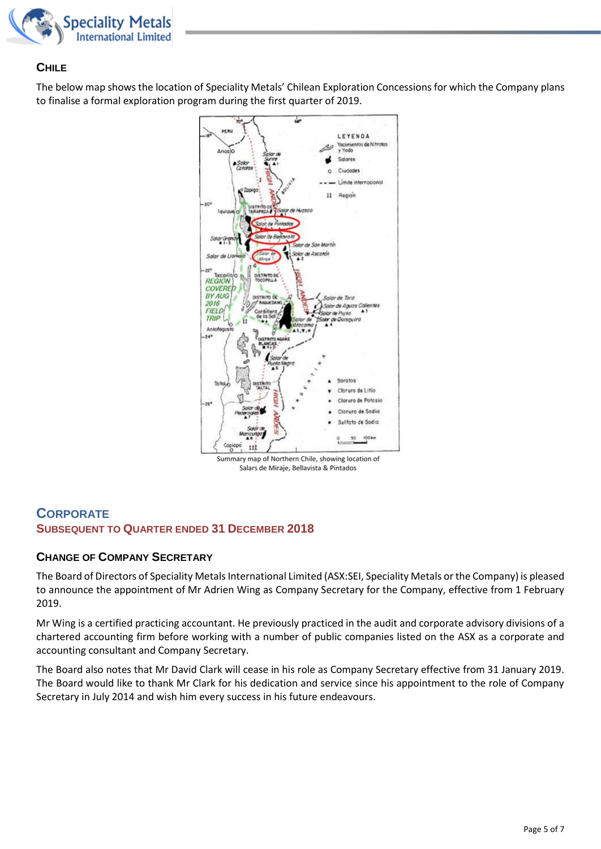

#### **CHILE**

The below map shows the location of Speciality Metals' Chilean Exploration Concessions for which the Company plans to finalise a formal exploration program during the first quarter of 2019.



Summary map of Northern Chile, showing location of Salars de Miraje, Bellavista & Pintados

#### **CORPORATE SUBSEQUENT TO QUARTER ENDED 31 DECEMBER 2018**

#### **CHANGE OF COMPANY SECRETARY**

The Board of Directors of Speciality Metals International Limited (ASX:SEI, Speciality Metals or the Company) is pleased to announce the appointment of Mr Adrien Wing as Company Secretary for the Company, effective from 1 February 2019.

Mr Wing is a certified practicing accountant. He previously practiced in the audit and corporate advisory divisions of a chartered accounting firm before working with a number of public companies listed on the ASX as a corporate and accounting consultant and Company Secretary.

The Board also notes that Mr David Clark will cease in his role as Company Secretary effective from 31 January 2019. The Board would like to thank Mr Clark for his dedication and service since his appointment to the role of Company Secretary in July 2014 and wish him every success in his future endeavours.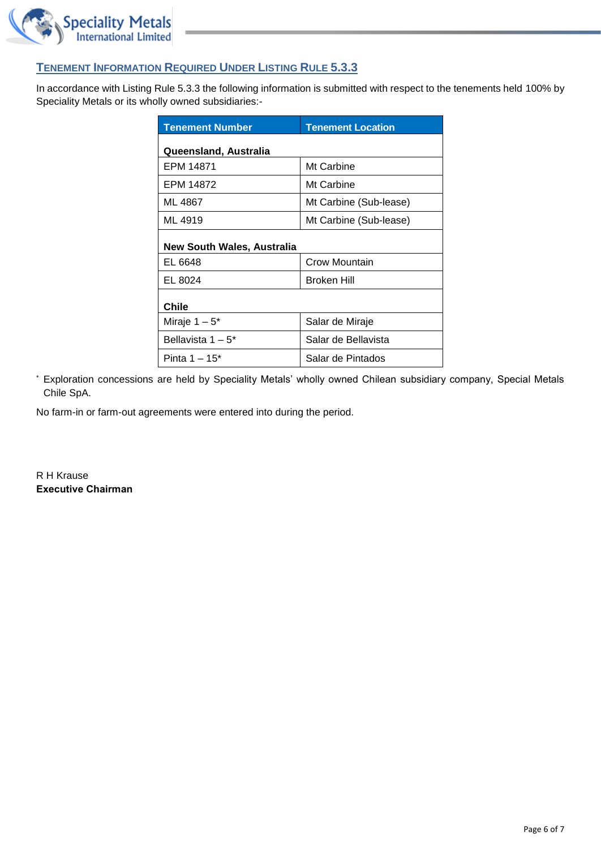

#### **TENEMENT INFORMATION REQUIRED UNDER LISTING RULE 5.3.3**

In accordance with Listing Rule 5.3.3 the following information is submitted with respect to the tenements held 100% by Speciality Metals or its wholly owned subsidiaries:-

| <b>Tenement Number</b>     | <b>Tenement Location</b> |  |
|----------------------------|--------------------------|--|
| Queensland, Australia      |                          |  |
| EPM 14871                  | Mt Carbine               |  |
| EPM 14872                  | Mt Carbine               |  |
| ML 4867                    | Mt Carbine (Sub-lease)   |  |
| ML 4919                    | Mt Carbine (Sub-lease)   |  |
| New South Wales, Australia |                          |  |
| EL 6648                    | Crow Mountain            |  |
| EL 8024                    | <b>Broken Hill</b>       |  |
| Chile                      |                          |  |
| Miraje $1-5^*$             | Salar de Miraje          |  |
| Bellavista $1-5^*$         | Salar de Bellavista      |  |
| Pinta $1 - 15^*$           | Salar de Pintados        |  |

\* Exploration concessions are held by Speciality Metals' wholly owned Chilean subsidiary company, Special Metals Chile SpA.

No farm-in or farm-out agreements were entered into during the period.

R H Krause **Executive Chairman**